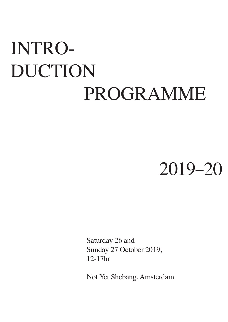# INTRO-DUCTION PROGRAMME

## 2019–20

Saturday 26 and Sunday 27 October 2019, 12-17hr

Not Yet Shebang, Amsterdam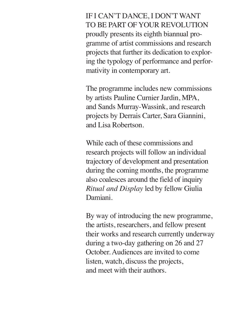IF I CAN'T DANCE, I DON'T WANT TO BE PART OF YOUR REVOLUTION proudly presents its eighth biannual programme of artist commissions and research projects that further its dedication to exploring the typology of performance and performativity in contemporary art.

The programme includes new commissions by artists Pauline Curnier Jardin, MPA, and Sands Murray-Wassink, and research projects by Derrais Carter, Sara Giannini, and Lisa Robertson.

While each of these commissions and research projects will follow an individual trajectory of development and presentation during the coming months, the programme also coalesces around the field of inquiry *Ritual and Display* led by fellow Giulia Damiani.

By way of introducing the new programme, the artists, researchers, and fellow present their works and research currently underway during a two-day gathering on 26 and 27 October. Audiences are invited to come listen, watch, discuss the projects, and meet with their authors.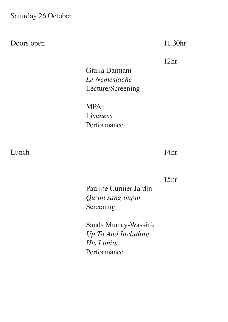Saturday 26 October

Doors open

11.30hr

12hr

Giulia Damiani *Le Nemesiache* Lecture/Screening

MPA Live*ness* Performance

Lunch

14hr

15hr

Pauline Curnier Jardin *Qu'un sang impur* Screening

Sands Murray-Wassink *Up To And Including His Limits* Performance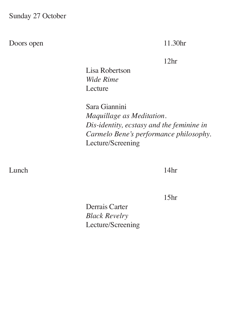Sunday 27 October

Doors open

11.30hr

12hr

Lisa Robertson *Wide Rime* Lecture

Sara Giannini *Maquillage as Meditation. Dis-identity, ecstasy and the feminine in Carmelo Bene's performance philosophy.* Lecture/Screening

Lunch

14hr

15hr

Derrais Carter *Black Revelry*  Lecture/Screening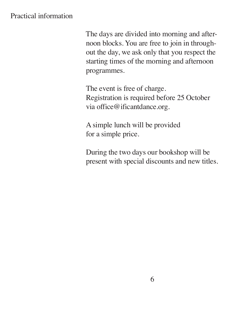## Practical information

The days are divided into morning and afternoon blocks. You are free to join in throughout the day, we ask only that you respect the starting times of the morning and afternoon programmes.

The event is free of charge. Registration is required before 25 October via office@ificantdance.org.

A simple lunch will be provided for a simple price.

During the two days our bookshop will be present with special discounts and new titles.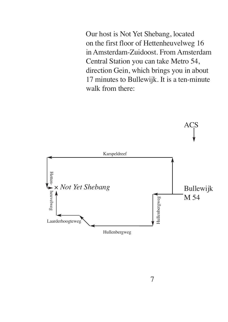Our host is Not Yet Shebang, located on the first floor of Hettenheuvelweg 16 in Amsterdam-Zuidoost. From Amsterdam Central Station you can take Metro 54, direction Gein, which brings you in about 17 minutes to Bullewijk. It is a ten-minute walk from there:

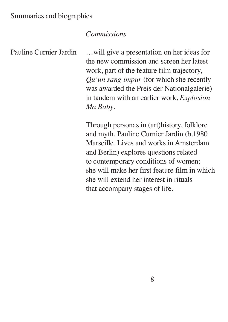#### *Commissions*

Pauline Curnier Jardin

…will give a presentation on her ideas for the new commission and screen her latest work, part of the feature film trajectory, *Qu'un sang impur* (for which she recently was awarded the Preis der Nationalgalerie) in tandem with an earlier work, *Explosion Ma Baby*.

Through personas in (art)history, folklore and myth, Pauline Curnier Jardin (b.1980 Marseille. Lives and works in Amsterdam and Berlin) explores questions related to contemporary conditions of women; she will make her first feature film in which she will extend her interest in rituals that accompany stages of life.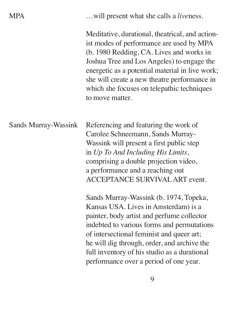|--|

…will present what she calls a *live*ness.

Meditative, durational, theatrical, and actionist modes of performance are used by MPA (b. 1980 Redding, CA. Lives and works in Joshua Tree and Los Angeles) to engage the energetic as a potential material in live work; she will create a new theatre performance in which she focuses on telepathic techniques to move matter.

Referencing and featuring the work of Carolee Schneemann, Sands Murray-Wassink will present a first public step in *Up To And Including His Limits*, comprising a double projection video, a performance and a reaching out ACCEPTANCE SURVIVALART event. Sands Murray-Wassink

> Sands Murray-Wassink (b. 1974, Topeka, Kansas USA. Lives in Amsterdam) is a painter, body artist and perfume collector indebted to various forms and permutations of intersectional feminist and queer art; he will dig through, order, and archive the full inventory of his studio as a durational performance over a period of one year.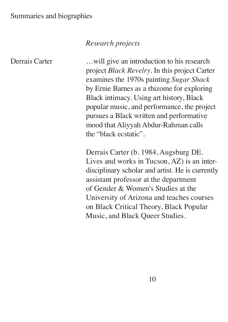#### Summaries and biographies

### *Research projects*

Derrais Carter

…will give an introduction to his research project *Black Revelry*. In this project Carter examines the 1970s painting *Sugar Shack* by Ernie Barnes as a rhizome for exploring Black intimacy. Using art history, Black popular music, and performance, the project pursues a Black written and performative mood that Aliyyah Abdur-Rahman calls the "black ecstatic".

Derrais Carter (b. 1984, Augsburg DE. Lives and works in Tucson, AZ) is an interdisciplinary scholar and artist. He is currently assistant professor at the department of Gender & Women's Studies at the University of Arizona and teaches courses on Black Critical Theory, Black Popular Music, and Black Queer Studies.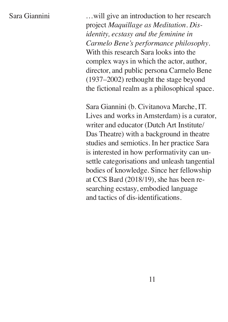#### Sara Giannini

…will give an introduction to her research project *Maquillage as Meditation. Disidentity, ecstasy and the feminine in Carmelo Bene's performance philosophy*. With this research Sara looks into the complex ways in which the actor, author, director, and public persona Carmelo Bene (1937–2002) rethought the stage beyond the fictional realm as a philosophical space.

Sara Giannini (b. Civitanova Marche, IT. Lives and works in Amsterdam) is a curator, writer and educator (Dutch Art Institute/ Das Theatre) with a background in theatre studies and semiotics. In her practice Sara is interested in how performativity can unsettle categorisations and unleash tangential bodies of knowledge. Since her fellowship at CCS Bard (2018/19), she has been researching ecstasy, embodied language and tactics of dis-identifications.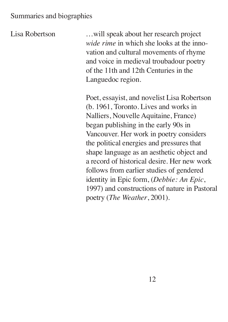#### Summaries and biographies

Lisa Robertson

…will speak about her research project *wide rime* in which she looks at the innovation and cultural movements of rhyme and voice in medieval troubadour poetry of the 11th and 12th Centuries in the Languedoc region.

Poet, essayist, and novelist Lisa Robertson (b. 1961, Toronto. Lives and works in Nalliers, Nouvelle Aquitaine, France) began publishing in the early 90s in Vancouver. Her work in poetry considers the political energies and pressures that shape language as an aesthetic object and a record of historical desire. Her new work follows from earlier studies of gendered identity in Epic form, (*Debbie: An Epic*, 1997) and constructions of nature in Pastoral poetry (*The Weather*, 2001).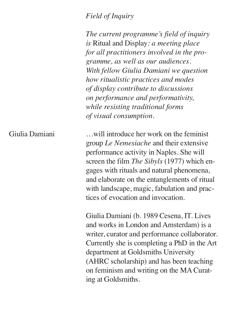#### *Field of Inquiry*

*The current programme's field of inquiry is* Ritual and Display*: a meeting place for all practitioners involved in the programme, as well as our audiences. With fellow Giulia Damiani we question how ritualistic practices and modes of display contribute to discussions on performance and performativity, while resisting traditional forms of visual consumption.*

…will introduce her work on the feminist group *Le Nemesiache* and their extensive performance activity in Naples. She will screen the film *The Sibyls* (1977) which engages with rituals and natural phenomena, and elaborate on the entanglements of ritual with landscape, magic, fabulation and practices of evocation and invocation. Giulia Damiani

> Giulia Damiani (b. 1989 Cesena, IT. Lives and works in London and Amsterdam) is a writer, curator and performance collaborator. Currently she is completing a PhD in the Art department at Goldsmiths University (AHRC scholarship) and has been teaching on feminism and writing on the MA Curating at Goldsmiths.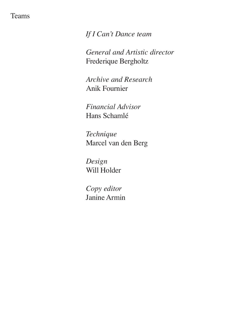#### Teams

*If I Can't Dance team*

*General and Artistic director* Frederique Bergholtz

*Archive and Research* Anik Fournier

*Financial Advisor* Hans Schamlé

*Technique* Marcel van den Berg

*Design* Will Holder

*Copy editor* Janine Armin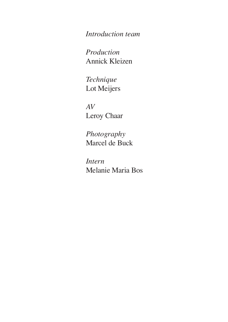*Introduction team*

*Production* Annick Kleizen

*Technique* Lot Meijers

*AV* Leroy Chaar

*Photography* Marcel de Buck

*Intern* Melanie Maria Bos